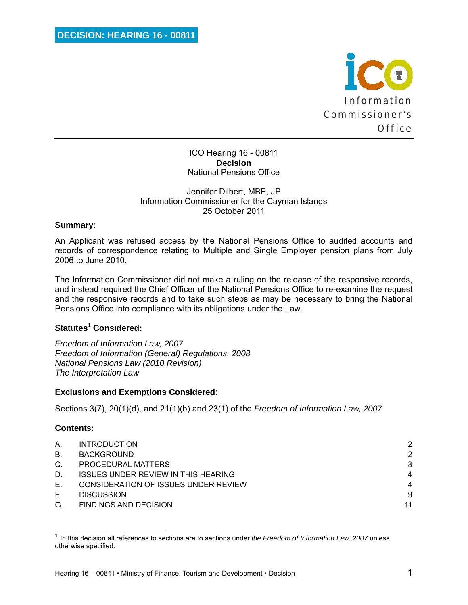

ICO Hearing 16 - 00811 **Decision**  National Pensions Office

#### Jennifer Dilbert, MBE, JP Information Commissioner for the Cayman Islands 25 October 2011

### **Summary**:

An Applicant was refused access by the National Pensions Office to audited accounts and records of correspondence relating to Multiple and Single Employer pension plans from July 2006 to June 2010.

The Information Commissioner did not make a ruling on the release of the responsive records, and instead required the Chief Officer of the National Pensions Office to re-examine the request and the responsive records and to take such steps as may be necessary to bring the National Pensions Office into compliance with its obligations under the Law.

# **Statutes<sup>1</sup> Considered:**

<u> 1980 - Andrea Andrew Maria (h. 1980).</u><br>1980 - Andrew Maria (h. 1980).

*Freedom of Information Law, 2007 Freedom of Information (General) Regulations, 2008 National Pensions Law (2010 Revision) The Interpretation Law* 

#### **Exclusions and Exemptions Considered**:

Sections 3(7), 20(1)(d), and 21(1)(b) and 23(1) of the *Freedom of Information Law, 2007*

#### **Contents:**

| Α.          | <b>INTRODUCTION</b>                        | 2              |
|-------------|--------------------------------------------|----------------|
| <b>B.</b>   | <b>BACKGROUND</b>                          | 2              |
| $C_{\cdot}$ | PROCEDURAL MATTERS                         | 3              |
| D.          | <b>ISSUES UNDER REVIEW IN THIS HEARING</b> | $\overline{4}$ |
| Е.          | CONSIDERATION OF ISSUES UNDER REVIEW       | $\overline{4}$ |
| E.          | <b>DISCUSSION</b>                          | 9              |
| G.          | <b>FINDINGS AND DECISION</b>               | 11             |

<sup>1</sup> In this decision all references to sections are to sections under *the Freedom of Information Law, 2007* unless otherwise specified.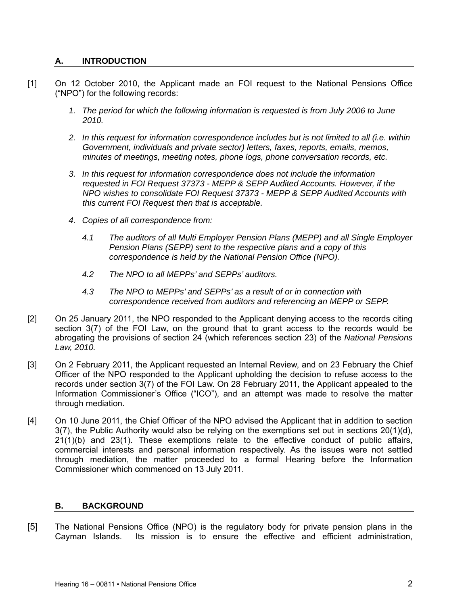# **A. INTRODUCTION**

- [1] On 12 October 2010, the Applicant made an FOI request to the National Pensions Office ("NPO") for the following records:
	- *1. The period for which the following information is requested is from July 2006 to June 2010.*
	- *2. In this request for information correspondence includes but is not limited to all (i.e. within Government, individuals and private sector) letters, faxes, reports, emails, memos, minutes of meetings, meeting notes, phone logs, phone conversation records, etc.*
	- *3. In this request for information correspondence does not include the information requested in FOI Request 37373 - MEPP & SEPP Audited Accounts. However, if the NPO wishes to consolidate FOI Request 37373 - MEPP & SEPP Audited Accounts with this current FOI Request then that is acceptable.*
	- *4. Copies of all correspondence from:* 
		- *4.1 The auditors of all Multi Employer Pension Plans (MEPP) and all Single Employer Pension Plans (SEPP) sent to the respective plans and a copy of this correspondence is held by the National Pension Office (NPO).*
		- *4.2 The NPO to all MEPPs' and SEPPs' auditors.*
		- *4.3 The NPO to MEPPs' and SEPPs' as a result of or in connection with correspondence received from auditors and referencing an MEPP or SEPP.*
- [2] On 25 January 2011, the NPO responded to the Applicant denying access to the records citing section 3(7) of the FOI Law, on the ground that to grant access to the records would be abrogating the provisions of section 24 (which references section 23) of the *National Pensions Law, 2010.*
- [3] On 2 February 2011, the Applicant requested an Internal Review, and on 23 February the Chief Officer of the NPO responded to the Applicant upholding the decision to refuse access to the records under section 3(7) of the FOI Law. On 28 February 2011, the Applicant appealed to the Information Commissioner's Office ("ICO"), and an attempt was made to resolve the matter through mediation.
- [4] On 10 June 2011, the Chief Officer of the NPO advised the Applicant that in addition to section 3(7), the Public Authority would also be relying on the exemptions set out in sections 20(1)(d), 21(1)(b) and 23(1). These exemptions relate to the effective conduct of public affairs, commercial interests and personal information respectively. As the issues were not settled through mediation, the matter proceeded to a formal Hearing before the Information Commissioner which commenced on 13 July 2011.

# **B. BACKGROUND**

[5] The National Pensions Office (NPO) is the regulatory body for private pension plans in the Cayman Islands. Its mission is to ensure the effective and efficient administration,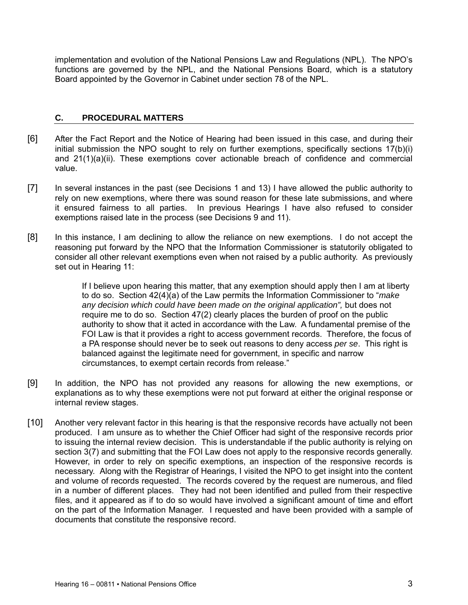implementation and evolution of the National Pensions Law and Regulations (NPL). The NPO's functions are governed by the NPL, and the National Pensions Board, which is a statutory Board appointed by the Governor in Cabinet under section 78 of the NPL.

# **C. PROCEDURAL MATTERS**

- [6] After the Fact Report and the Notice of Hearing had been issued in this case, and during their initial submission the NPO sought to rely on further exemptions, specifically sections 17(b)(i) and 21(1)(a)(ii). These exemptions cover actionable breach of confidence and commercial value.
- [7] In several instances in the past (see Decisions 1 and 13) I have allowed the public authority to rely on new exemptions, where there was sound reason for these late submissions, and where it ensured fairness to all parties. In previous Hearings I have also refused to consider exemptions raised late in the process (see Decisions 9 and 11).
- [8] In this instance, I am declining to allow the reliance on new exemptions. I do not accept the reasoning put forward by the NPO that the Information Commissioner is statutorily obligated to consider all other relevant exemptions even when not raised by a public authority. As previously set out in Hearing 11:

If I believe upon hearing this matter, that any exemption should apply then I am at liberty to do so. Section 42(4)(a) of the Law permits the Information Commissioner to "*make any decision which could have been made on the original application",* but does not require me to do so. Section 47(2) clearly places the burden of proof on the public authority to show that it acted in accordance with the Law. A fundamental premise of the FOI Law is that it provides a right to access government records. Therefore, the focus of a PA response should never be to seek out reasons to deny access *per se*. This right is balanced against the legitimate need for government, in specific and narrow circumstances, to exempt certain records from release."

- [9] In addition, the NPO has not provided any reasons for allowing the new exemptions, or explanations as to why these exemptions were not put forward at either the original response or internal review stages.
- [10] Another very relevant factor in this hearing is that the responsive records have actually not been produced. I am unsure as to whether the Chief Officer had sight of the responsive records prior to issuing the internal review decision. This is understandable if the public authority is relying on section 3(7) and submitting that the FOI Law does not apply to the responsive records generally. However, in order to rely on specific exemptions, an inspection of the responsive records is necessary. Along with the Registrar of Hearings, I visited the NPO to get insight into the content and volume of records requested. The records covered by the request are numerous, and filed in a number of different places. They had not been identified and pulled from their respective files, and it appeared as if to do so would have involved a significant amount of time and effort on the part of the Information Manager. I requested and have been provided with a sample of documents that constitute the responsive record.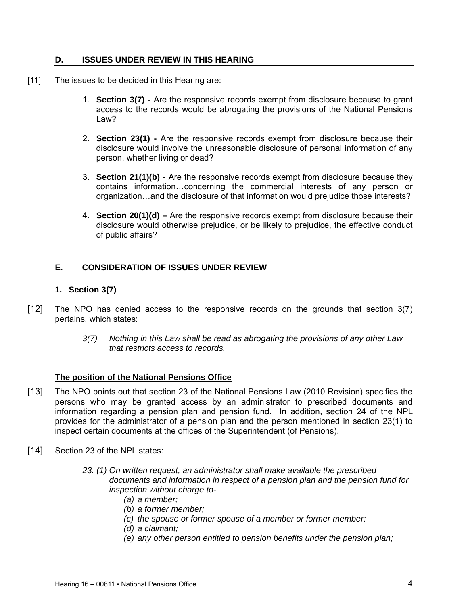### **D. ISSUES UNDER REVIEW IN THIS HEARING**

- [11] The issues to be decided in this Hearing are:
	- 1. **Section 3(7)** Are the responsive records exempt from disclosure because to grant access to the records would be abrogating the provisions of the National Pensions Law?
	- 2. **Section 23(1)** Are the responsive records exempt from disclosure because their disclosure would involve the unreasonable disclosure of personal information of any person, whether living or dead?
	- 3. **Section 21(1)(b)** Are the responsive records exempt from disclosure because they contains information…concerning the commercial interests of any person or organization…and the disclosure of that information would prejudice those interests?
	- 4. **Section 20(1)(d)** Are the responsive records exempt from disclosure because their disclosure would otherwise prejudice, or be likely to prejudice, the effective conduct of public affairs?

# **E. CONSIDERATION OF ISSUES UNDER REVIEW**

# **1. Section 3(7)**

- [12] The NPO has denied access to the responsive records on the grounds that section 3(7) pertains, which states:
	- *3(7) Nothing in this Law shall be read as abrogating the provisions of any other Law that restricts access to records.*

#### **The position of the National Pensions Office**

- [13] The NPO points out that section 23 of the National Pensions Law (2010 Revision) specifies the persons who may be granted access by an administrator to prescribed documents and information regarding a pension plan and pension fund. In addition, section 24 of the NPL provides for the administrator of a pension plan and the person mentioned in section 23(1) to inspect certain documents at the offices of the Superintendent (of Pensions).
- [14] Section 23 of the NPL states:
	- *23. (1) On written request, an administrator shall make available the prescribed documents and information in respect of a pension plan and the pension fund for inspection without charge to-* 
		- *(a) a member;*
		- *(b) a former member;*
		- *(c) the spouse or former spouse of a member or former member;*
		- *(d) a claimant;*
		- *(e) any other person entitled to pension benefits under the pension plan;*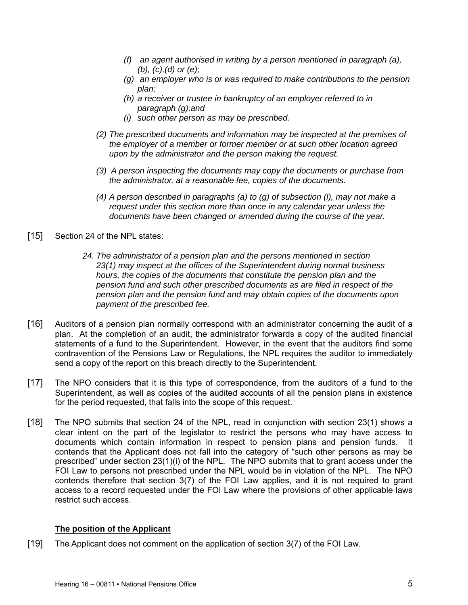- *(f) an agent authorised in writing by a person mentioned in paragraph (a), (b), (c),(d) or (e);*
- *(g) an employer who is or was required to make contributions to the pension plan;*
- *(h) a receiver or trustee in bankruptcy of an employer referred to in paragraph (g);and*
- *(i) such other person as may be prescribed.*
- *(2) The prescribed documents and information may be inspected at the premises of the employer of a member or former member or at such other location agreed upon by the administrator and the person making the request.*
- *(3) A person inspecting the documents may copy the documents or purchase from the administrator, at a reasonable fee, copies of the documents.*
- *(4) A person described in paragraphs (a) to (g) of subsection (l), may not make a request under this section more than once in any calendar year unless the documents have been changed or amended during the course of the year.*
- [15] Section 24 of the NPL states:
	- *24. The administrator of a pension plan and the persons mentioned in section 23(1) may inspect at the offices of the Superintendent during normal business hours, the copies of the documents that constitute the pension plan and the pension fund and such other prescribed documents as are filed in respect of the pension plan and the pension fund and may obtain copies of the documents upon payment of the prescribed fee.*
- [16] Auditors of a pension plan normally correspond with an administrator concerning the audit of a plan. At the completion of an audit, the administrator forwards a copy of the audited financial statements of a fund to the Superintendent. However, in the event that the auditors find some contravention of the Pensions Law or Regulations, the NPL requires the auditor to immediately send a copy of the report on this breach directly to the Superintendent.
- [17] The NPO considers that it is this type of correspondence, from the auditors of a fund to the Superintendent, as well as copies of the audited accounts of all the pension plans in existence for the period requested, that falls into the scope of this request.
- [18] The NPO submits that section 24 of the NPL, read in conjunction with section 23(1) shows a clear intent on the part of the legislator to restrict the persons who may have access to documents which contain information in respect to pension plans and pension funds. It contends that the Applicant does not fall into the category of "such other persons as may be prescribed" under section 23(1)(i) of the NPL. The NPO submits that to grant access under the FOI Law to persons not prescribed under the NPL would be in violation of the NPL. The NPO contends therefore that section 3(7) of the FOI Law applies, and it is not required to grant access to a record requested under the FOI Law where the provisions of other applicable laws restrict such access.

# **The position of the Applicant**

[19] The Applicant does not comment on the application of section 3(7) of the FOI Law.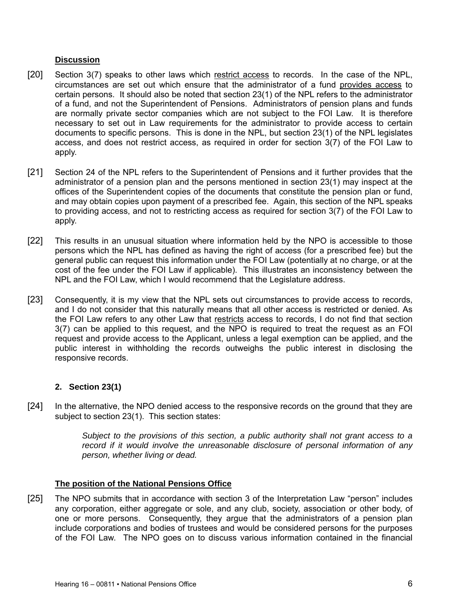# **Discussion**

- [20] Section 3(7) speaks to other laws which restrict access to records. In the case of the NPL, circumstances are set out which ensure that the administrator of a fund provides access to certain persons. It should also be noted that section 23(1) of the NPL refers to the administrator of a fund, and not the Superintendent of Pensions. Administrators of pension plans and funds are normally private sector companies which are not subject to the FOI Law. It is therefore necessary to set out in Law requirements for the administrator to provide access to certain documents to specific persons. This is done in the NPL, but section 23(1) of the NPL legislates access, and does not restrict access, as required in order for section 3(7) of the FOI Law to apply.
- [21] Section 24 of the NPL refers to the Superintendent of Pensions and it further provides that the administrator of a pension plan and the persons mentioned in section 23(1) may inspect at the offices of the Superintendent copies of the documents that constitute the pension plan or fund, and may obtain copies upon payment of a prescribed fee. Again, this section of the NPL speaks to providing access, and not to restricting access as required for section 3(7) of the FOI Law to apply.
- [22] This results in an unusual situation where information held by the NPO is accessible to those persons which the NPL has defined as having the right of access (for a prescribed fee) but the general public can request this information under the FOI Law (potentially at no charge, or at the cost of the fee under the FOI Law if applicable). This illustrates an inconsistency between the NPL and the FOI Law, which I would recommend that the Legislature address.
- [23] Consequently, it is my view that the NPL sets out circumstances to provide access to records, and I do not consider that this naturally means that all other access is restricted or denied. As the FOI Law refers to any other Law that restricts access to records, I do not find that section 3(7) can be applied to this request, and the NPO is required to treat the request as an FOI request and provide access to the Applicant, unless a legal exemption can be applied, and the public interest in withholding the records outweighs the public interest in disclosing the responsive records.

# **2. Section 23(1)**

[24] In the alternative, the NPO denied access to the responsive records on the ground that they are subject to section 23(1). This section states:

> *Subject to the provisions of this section, a public authority shall not grant access to a record if it would involve the unreasonable disclosure of personal information of any person, whether living or dead.*

# **The position of the National Pensions Office**

[25] The NPO submits that in accordance with section 3 of the Interpretation Law "person" includes any corporation, either aggregate or sole, and any club, society, association or other body, of one or more persons. Consequently, they argue that the administrators of a pension plan include corporations and bodies of trustees and would be considered persons for the purposes of the FOI Law. The NPO goes on to discuss various information contained in the financial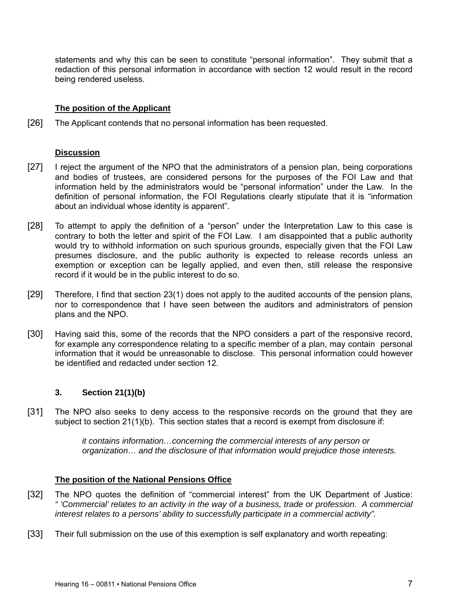statements and why this can be seen to constitute "personal information". They submit that a redaction of this personal information in accordance with section 12 would result in the record being rendered useless.

# **The position of the Applicant**

[26] The Applicant contends that no personal information has been requested.

### **Discussion**

- [27] I reject the argument of the NPO that the administrators of a pension plan, being corporations and bodies of trustees, are considered persons for the purposes of the FOI Law and that information held by the administrators would be "personal information" under the Law. In the definition of personal information, the FOI Regulations clearly stipulate that it is "information about an individual whose identity is apparent".
- [28] To attempt to apply the definition of a "person" under the Interpretation Law to this case is contrary to both the letter and spirit of the FOI Law. I am disappointed that a public authority would try to withhold information on such spurious grounds, especially given that the FOI Law presumes disclosure, and the public authority is expected to release records unless an exemption or exception can be legally applied, and even then, still release the responsive record if it would be in the public interest to do so.
- [29] Therefore, I find that section 23(1) does not apply to the audited accounts of the pension plans, nor to correspondence that I have seen between the auditors and administrators of pension plans and the NPO.
- [30] Having said this, some of the records that the NPO considers a part of the responsive record, for example any correspondence relating to a specific member of a plan, may contain personal information that it would be unreasonable to disclose. This personal information could however be identified and redacted under section 12.

# **3. Section 21(1)(b)**

[31] The NPO also seeks to deny access to the responsive records on the ground that they are subject to section 21(1)(b). This section states that a record is exempt from disclosure if:

> *it contains information…concerning the commercial interests of any person or organization… and the disclosure of that information would prejudice those interests.*

# **The position of the National Pensions Office**

- [32] The NPO quotes the definition of "commercial interest" from the UK Department of Justice: *" 'Commercial' relates to an activity in the way of a business, trade or profession. A commercial interest relates to a persons' ability to successfully participate in a commercial activity".*
- [33] Their full submission on the use of this exemption is self explanatory and worth repeating: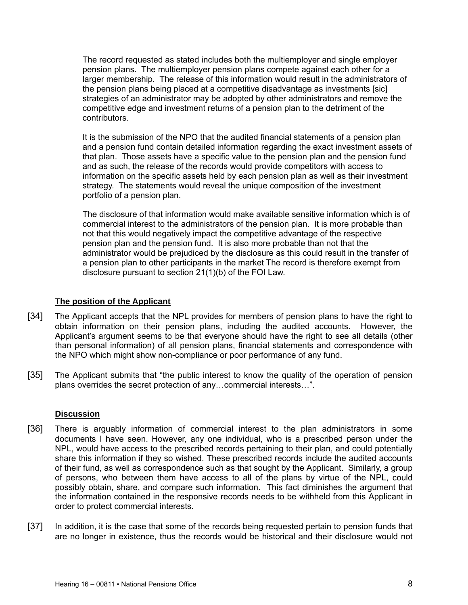The record requested as stated includes both the multiemployer and single employer pension plans. The multiemployer pension plans compete against each other for a larger membership. The release of this information would result in the administrators of the pension plans being placed at a competitive disadvantage as investments [sic] strategies of an administrator may be adopted by other administrators and remove the competitive edge and investment returns of a pension plan to the detriment of the contributors.

It is the submission of the NPO that the audited financial statements of a pension plan and a pension fund contain detailed information regarding the exact investment assets of that plan. Those assets have a specific value to the pension plan and the pension fund and as such, the release of the records would provide competitors with access to information on the specific assets held by each pension plan as well as their investment strategy. The statements would reveal the unique composition of the investment portfolio of a pension plan.

The disclosure of that information would make available sensitive information which is of commercial interest to the administrators of the pension plan. It is more probable than not that this would negatively impact the competitive advantage of the respective pension plan and the pension fund. It is also more probable than not that the administrator would be prejudiced by the disclosure as this could result in the transfer of a pension plan to other participants in the market The record is therefore exempt from disclosure pursuant to section 21(1)(b) of the FOI Law.

# **The position of the Applicant**

- [34] The Applicant accepts that the NPL provides for members of pension plans to have the right to obtain information on their pension plans, including the audited accounts. However, the Applicant's argument seems to be that everyone should have the right to see all details (other than personal information) of all pension plans, financial statements and correspondence with the NPO which might show non-compliance or poor performance of any fund.
- [35] The Applicant submits that "the public interest to know the quality of the operation of pension plans overrides the secret protection of any…commercial interests…".

# **Discussion**

- [36] There is arguably information of commercial interest to the plan administrators in some documents I have seen. However, any one individual, who is a prescribed person under the NPL, would have access to the prescribed records pertaining to their plan, and could potentially share this information if they so wished. These prescribed records include the audited accounts of their fund, as well as correspondence such as that sought by the Applicant. Similarly, a group of persons, who between them have access to all of the plans by virtue of the NPL, could possibly obtain, share, and compare such information. This fact diminishes the argument that the information contained in the responsive records needs to be withheld from this Applicant in order to protect commercial interests.
- [37] In addition, it is the case that some of the records being requested pertain to pension funds that are no longer in existence, thus the records would be historical and their disclosure would not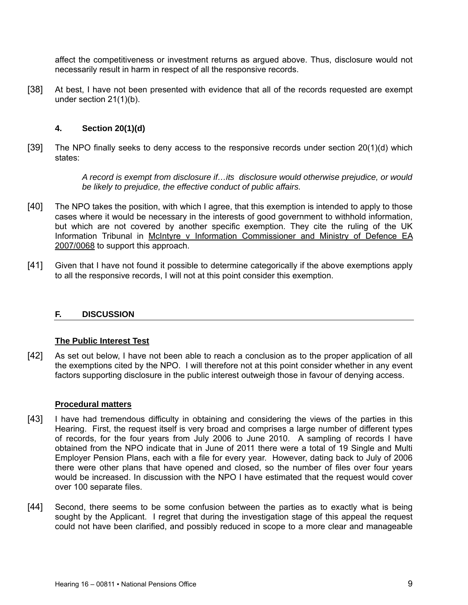affect the competitiveness or investment returns as argued above. Thus, disclosure would not necessarily result in harm in respect of all the responsive records.

[38] At best, I have not been presented with evidence that all of the records requested are exempt under section 21(1)(b).

# **4. Section 20(1)(d)**

[39] The NPO finally seeks to deny access to the responsive records under section 20(1)(d) which states:

> *A record is exempt from disclosure if…its disclosure would otherwise prejudice, or would be likely to prejudice, the effective conduct of public affairs.*

- [40] The NPO takes the position, with which I agree, that this exemption is intended to apply to those cases where it would be necessary in the interests of good government to withhold information, but which are not covered by another specific exemption. They cite the ruling of the UK Information Tribunal in McIntyre v Information Commissioner and Ministry of Defence EA 2007/0068 to support this approach.
- [41] Given that I have not found it possible to determine categorically if the above exemptions apply to all the responsive records, I will not at this point consider this exemption.

# **F. DISCUSSION**

#### **The Public Interest Test**

[42] As set out below, I have not been able to reach a conclusion as to the proper application of all the exemptions cited by the NPO. I will therefore not at this point consider whether in any event factors supporting disclosure in the public interest outweigh those in favour of denying access.

#### **Procedural matters**

- [43] I have had tremendous difficulty in obtaining and considering the views of the parties in this Hearing. First, the request itself is very broad and comprises a large number of different types of records, for the four years from July 2006 to June 2010. A sampling of records I have obtained from the NPO indicate that in June of 2011 there were a total of 19 Single and Multi Employer Pension Plans, each with a file for every year. However, dating back to July of 2006 there were other plans that have opened and closed, so the number of files over four years would be increased. In discussion with the NPO I have estimated that the request would cover over 100 separate files.
- [44] Second, there seems to be some confusion between the parties as to exactly what is being sought by the Applicant. I regret that during the investigation stage of this appeal the request could not have been clarified, and possibly reduced in scope to a more clear and manageable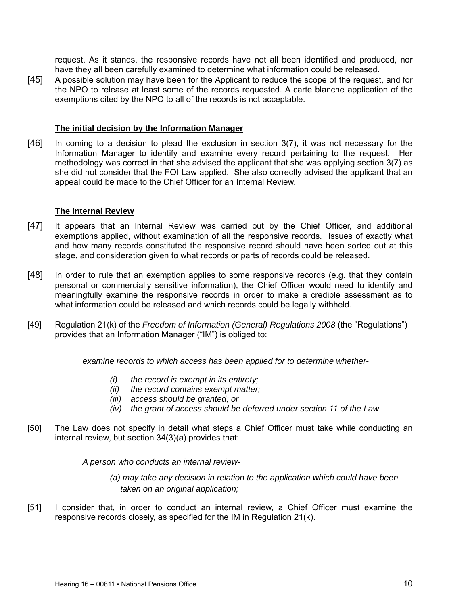request. As it stands, the responsive records have not all been identified and produced, nor have they all been carefully examined to determine what information could be released.

[45] A possible solution may have been for the Applicant to reduce the scope of the request, and for the NPO to release at least some of the records requested. A carte blanche application of the exemptions cited by the NPO to all of the records is not acceptable.

### **The initial decision by the Information Manager**

[46] In coming to a decision to plead the exclusion in section 3(7), it was not necessary for the Information Manager to identify and examine every record pertaining to the request. Her methodology was correct in that she advised the applicant that she was applying section 3(7) as she did not consider that the FOI Law applied. She also correctly advised the applicant that an appeal could be made to the Chief Officer for an Internal Review.

### **The Internal Review**

- [47] It appears that an Internal Review was carried out by the Chief Officer, and additional exemptions applied, without examination of all the responsive records. Issues of exactly what and how many records constituted the responsive record should have been sorted out at this stage, and consideration given to what records or parts of records could be released.
- [48] In order to rule that an exemption applies to some responsive records (e.g. that they contain personal or commercially sensitive information), the Chief Officer would need to identify and meaningfully examine the responsive records in order to make a credible assessment as to what information could be released and which records could be legally withheld.
- [49] Regulation 21(k) of the *Freedom of Information (General) Regulations 2008* (the "Regulations") provides that an Information Manager ("IM") is obliged to:

*examine records to which access has been applied for to determine whether-* 

- *(i) the record is exempt in its entirety;*
- *(ii) the record contains exempt matter;*
- *(iii) access should be granted; or*
- *(iv) the grant of access should be deferred under section 11 of the Law*
- [50] The Law does not specify in detail what steps a Chief Officer must take while conducting an internal review, but section 34(3)(a) provides that:

*A person who conducts an internal review-* 

*(a) may take any decision in relation to the application which could have been taken on an original application;* 

[51] I consider that, in order to conduct an internal review, a Chief Officer must examine the responsive records closely, as specified for the IM in Regulation 21(k).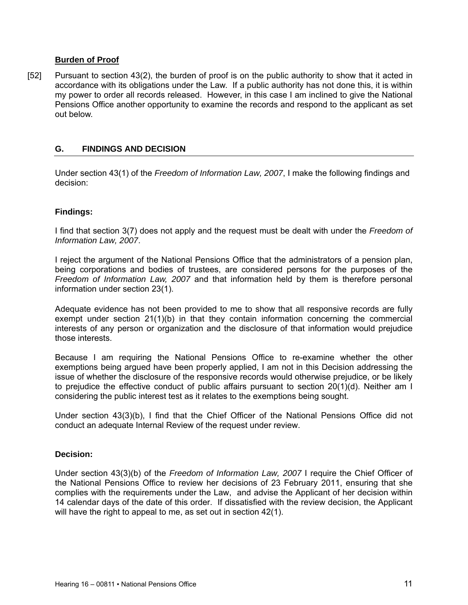### **Burden of Proof**

[52] Pursuant to section 43(2), the burden of proof is on the public authority to show that it acted in accordance with its obligations under the Law. If a public authority has not done this, it is within my power to order all records released. However, in this case I am inclined to give the National Pensions Office another opportunity to examine the records and respond to the applicant as set out below.

### **G. FINDINGS AND DECISION**

Under section 43(1) of the *Freedom of Information Law, 2007*, I make the following findings and decision:

### **Findings:**

I find that section 3(7) does not apply and the request must be dealt with under the *Freedom of Information Law, 2007*.

I reject the argument of the National Pensions Office that the administrators of a pension plan, being corporations and bodies of trustees, are considered persons for the purposes of the *Freedom of Information Law, 2007* and that information held by them is therefore personal information under section 23(1).

Adequate evidence has not been provided to me to show that all responsive records are fully exempt under section 21(1)(b) in that they contain information concerning the commercial interests of any person or organization and the disclosure of that information would prejudice those interests.

Because I am requiring the National Pensions Office to re-examine whether the other exemptions being argued have been properly applied, I am not in this Decision addressing the issue of whether the disclosure of the responsive records would otherwise prejudice, or be likely to prejudice the effective conduct of public affairs pursuant to section 20(1)(d). Neither am I considering the public interest test as it relates to the exemptions being sought.

Under section 43(3)(b), I find that the Chief Officer of the National Pensions Office did not conduct an adequate Internal Review of the request under review.

#### **Decision:**

Under section 43(3)(b) of the *Freedom of Information Law, 2007* I require the Chief Officer of the National Pensions Office to review her decisions of 23 February 2011, ensuring that she complies with the requirements under the Law, and advise the Applicant of her decision within 14 calendar days of the date of this order. If dissatisfied with the review decision, the Applicant will have the right to appeal to me, as set out in section 42(1).